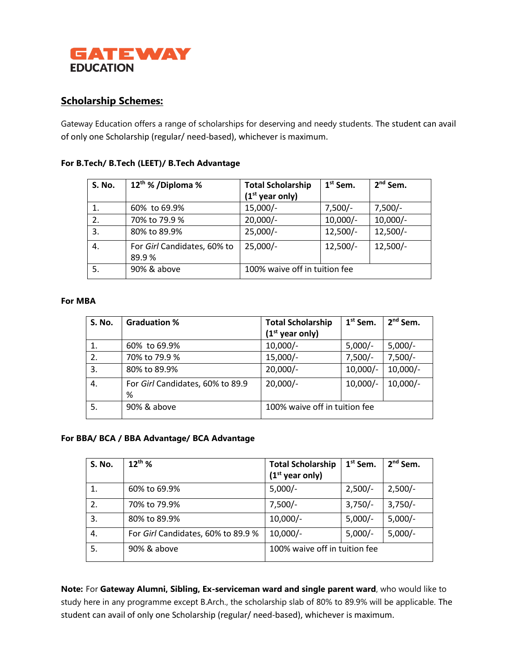

# **Scholarship Schemes:**

Gateway Education offers a range of scholarships for deserving and needy students. The student can avail of only one Scholarship (regular/ need-based), whichever is maximum.

### **For B.Tech/ B.Tech (LEET)/ B.Tech Advantage**

| <b>S. No.</b> | 12 <sup>th</sup> % / Diploma %       | <b>Total Scholarship</b><br>$(1st$ year only) | $1st$ Sem. | $2nd$ Sem. |
|---------------|--------------------------------------|-----------------------------------------------|------------|------------|
| 1.            | 60% to 69.9%                         | $15,000/-$                                    | $7,500/-$  | $7,500/-$  |
| 2.            | 70% to 79.9 %                        | $20,000/-$                                    | $10,000/-$ | $10,000/-$ |
| 3.            | 80% to 89.9%                         | $25,000/-$                                    | $12,500/-$ | $12,500/-$ |
| 4.            | For Girl Candidates, 60% to<br>89.9% | $25,000/-$                                    | $12,500/-$ | $12,500/-$ |
| 5.            | 90% & above                          | 100% waive off in tuition fee                 |            |            |

#### **For MBA**

| <b>S. No.</b> | <b>Graduation %</b>                   | <b>Total Scholarship</b>      | $1st$ Sem. | $2nd$ Sem. |
|---------------|---------------------------------------|-------------------------------|------------|------------|
|               |                                       | $(1st$ year only)             |            |            |
|               | 60% to 69.9%                          | $10,000/-$                    | $5,000/-$  | $5,000/-$  |
| 2.            | 70% to 79.9 %                         | $15,000/-$                    | $7,500/-$  | $7,500/-$  |
| 3.            | 80% to 89.9%                          | $20,000/-$                    | $10,000/-$ | $10,000/-$ |
| 4.            | For Girl Candidates, 60% to 89.9<br>% | $20,000/-$                    | $10,000/-$ | $10,000/-$ |
| 5.            | 90% & above                           | 100% waive off in tuition fee |            |            |

#### **For BBA/ BCA / BBA Advantage/ BCA Advantage**

| <b>S. No.</b> | $12^{th}$ %                        | <b>Total Scholarship</b><br>$(1st$ year only) | $1st$ Sem. | $2nd$ Sem. |
|---------------|------------------------------------|-----------------------------------------------|------------|------------|
|               | 60% to 69.9%                       | $5,000/-$                                     | $2,500/-$  | $2,500/-$  |
| 2.            | 70% to 79.9%                       | $7,500/-$                                     | $3,750/-$  | $3,750/-$  |
| 3.            | 80% to 89.9%                       | $10,000/-$                                    | $5,000/-$  | $5,000/-$  |
| 4.            | For Girl Candidates, 60% to 89.9 % | $10,000/-$                                    | $5,000/-$  | $5,000/-$  |
| 5.            | 90% & above                        | 100% waive off in tuition fee                 |            |            |

**Note:** For **Gateway Alumni, Sibling, Ex-serviceman ward and single parent ward**, who would like to study here in any programme except B.Arch., the scholarship slab of 80% to 89.9% will be applicable. The student can avail of only one Scholarship (regular/ need-based), whichever is maximum.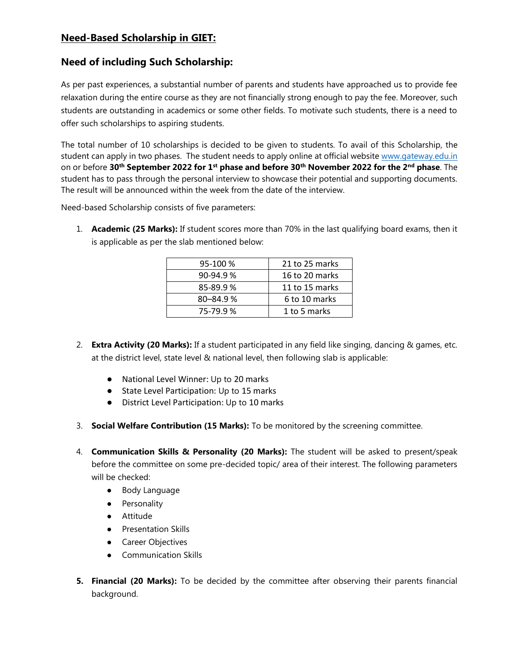## **Need-Based Scholarship in GIET:**

## **Need of including Such Scholarship:**

As per past experiences, a substantial number of parents and students have approached us to provide fee relaxation during the entire course as they are not financially strong enough to pay the fee. Moreover, such students are outstanding in academics or some other fields. To motivate such students, there is a need to offer such scholarships to aspiring students.

The total number of 10 scholarships is decided to be given to students. To avail of this Scholarship, the student can apply in two phases. The student needs to apply online at official website [www.gateway.edu.in](http://www.gateway.edu.in/) on or before **30th September 2022 for 1st phase and before 30th November 2022 for the 2nd phase**. The student has to pass through the personal interview to showcase their potential and supporting documents. The result will be announced within the week from the date of the interview.

Need-based Scholarship consists of five parameters:

1. **Academic (25 Marks):** If student scores more than 70% in the last qualifying board exams, then it is applicable as per the slab mentioned below:

| 95-100 %     | 21 to 25 marks |
|--------------|----------------|
| $90-94.9%$   | 16 to 20 marks |
| 85-89.9%     | 11 to 15 marks |
| $80 - 84.9%$ | 6 to 10 marks  |
| 75-79.9%     | 1 to 5 marks   |

- 2. **Extra Activity (20 Marks):** If a student participated in any field like singing, dancing & games, etc. at the district level, state level & national level, then following slab is applicable:
	- National Level Winner: Up to 20 marks
	- State Level Participation: Up to 15 marks
	- District Level Participation: Up to 10 marks
- 3. **Social Welfare Contribution (15 Marks):** To be monitored by the screening committee.
- 4. **Communication Skills & Personality (20 Marks):** The student will be asked to present/speak before the committee on some pre-decided topic/ area of their interest. The following parameters will be checked:
	- Body Language
	- Personality
	- Attitude
	- Presentation Skills
	- Career Objectives
	- Communication Skills
- **5. Financial (20 Marks):** To be decided by the committee after observing their parents financial background.